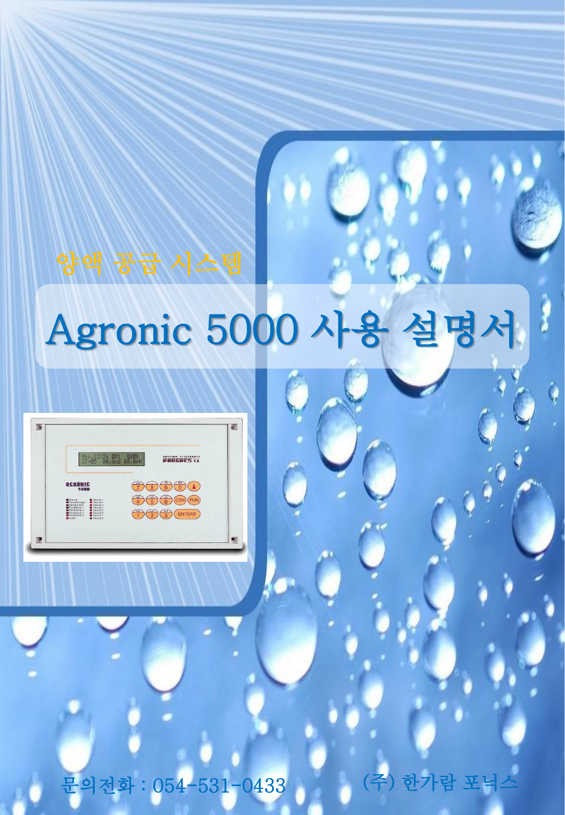# Agronic 5000 사용 설명서

| Mie.11:26 001 0108<br>27/05 00.0mS 00.0mH<br>PROGRES.SR                                                                                                                                                                                                                                                                      |
|------------------------------------------------------------------------------------------------------------------------------------------------------------------------------------------------------------------------------------------------------------------------------------------------------------------------------|
| <b>ACRÓNIC</b>                                                                                                                                                                                                                                                                                                               |
| <b>MARTIN</b><br><b>B</b> Valvula 1<br><b>MI</b> Válvota 2<br>General riego<br>General ferti.<br><b>B VANSAS</b><br>Fertilizarite 1<br>WWW.4a4<br>Fertilizierte 2<br>Walvets 5<br>$\frac{d}{d}$<br><b>ENTRAR</b><br>Fertilizarno 3<br><b>Walvets 6</b><br>Fertilizierte 4<br><b>Malesta</b> 2<br>William B<br><b>B</b> Acido |

문의전화 : 054-531-0433 (주) 한가람 포닉스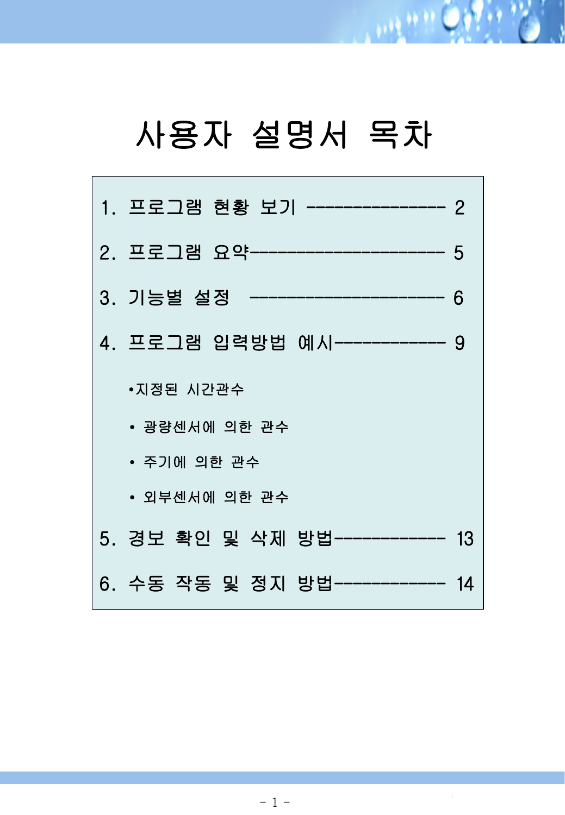#### 사용자 설명서 목차

 $101900$ 

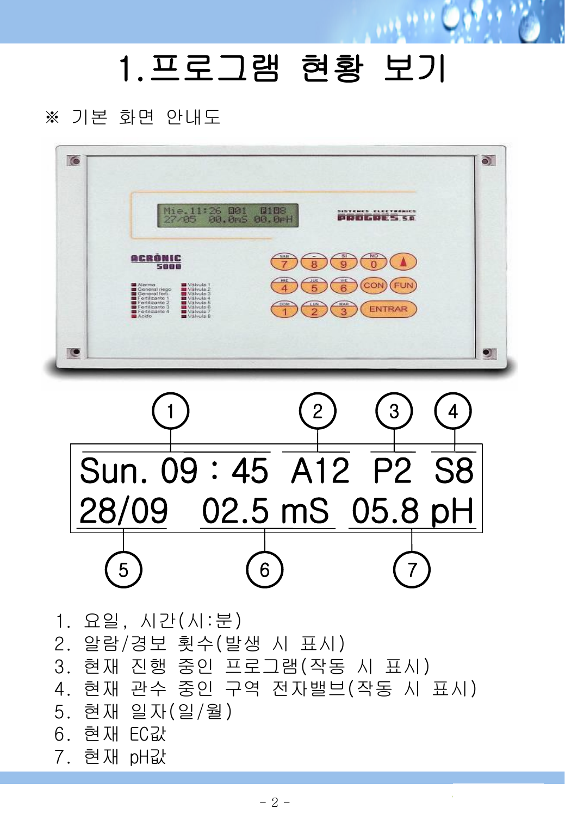#### 1.프로그램 현황 보기

 $\cdots$ 

#### ※ 기본 화면 안내도





1. 요일, 시간(시:분) 2. 알람/경보 횟수(발생 시 표시) 3. 현재 진행 중인 프로그램(작동 시 표시) 4. 현재 관수 중인 구역 전자밸브(작동 시 표시) 5. 현재 일자(일/월) 6. 현재 EC값 7. 현재 pH값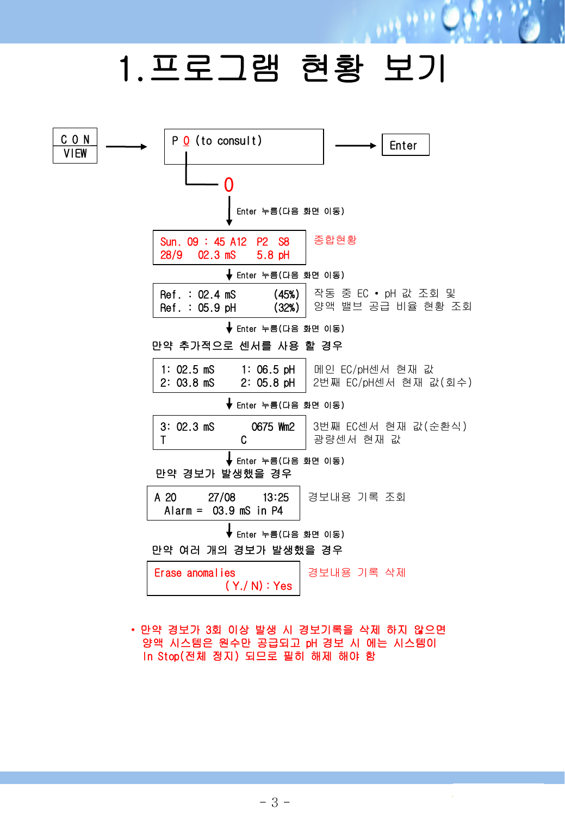### 1.프로그램 현황 보기

网络热



• 만약 경보가 3회 이상 발생 시 경보기록을 삭제 하지 않으면 양액 시스템은 원수만 공급되고 pH 경보 시 에는 시스템이 In Stop(전체 정지) 되므로 필히 해제 해야 함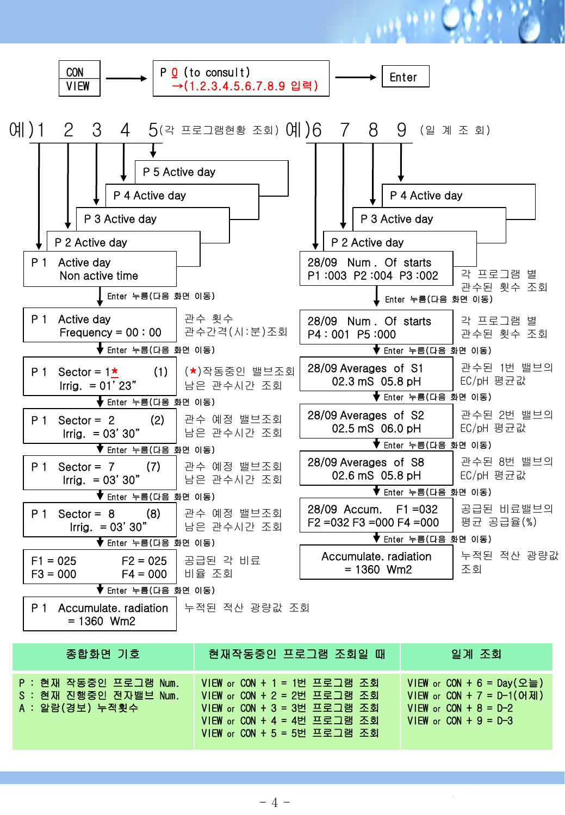

| 종압화면 기호                                                             | 현새삭동중인 프도그램 소회일 때                                                                                                                                                  | 일게 소회                                                                                                                |
|---------------------------------------------------------------------|--------------------------------------------------------------------------------------------------------------------------------------------------------------------|----------------------------------------------------------------------------------------------------------------------|
| - P : 현재 작동중인 프로그램 Num.<br>S : 현재 진행중인 전자밸브 Num.<br>A : 알람(경보) 누적횟수 | VIEW or CON + 1 = 1번 프로그램 조회<br>VIEW or CON + 2 = 2번 프로그램 조회<br>$V$ IEW or CON + 3 = 3번 프로그램 조회<br>VIEW or CON + 4 = 4번 프로그램 조회<br>$V$ IEW or CON + 5 = 5번 프로그램 조회 | VIEW or CON + 6 = Day(오늘)<br>$VIEW$ or $CON + 7 = D-1(OH)$<br>$VIEW$ or $CON + 8 = D-2$<br>$VIEW$ or $CON + 9 = D-3$ |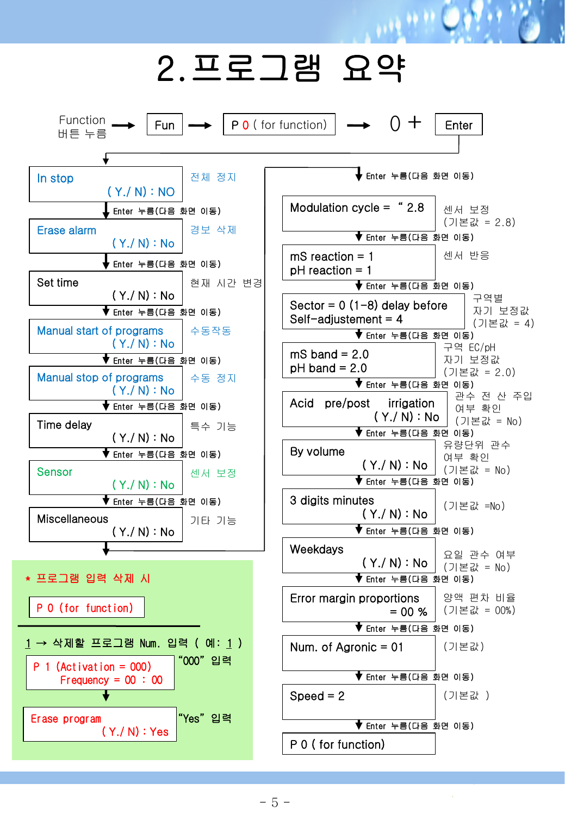#### 2.프로그램 요약

بالموار

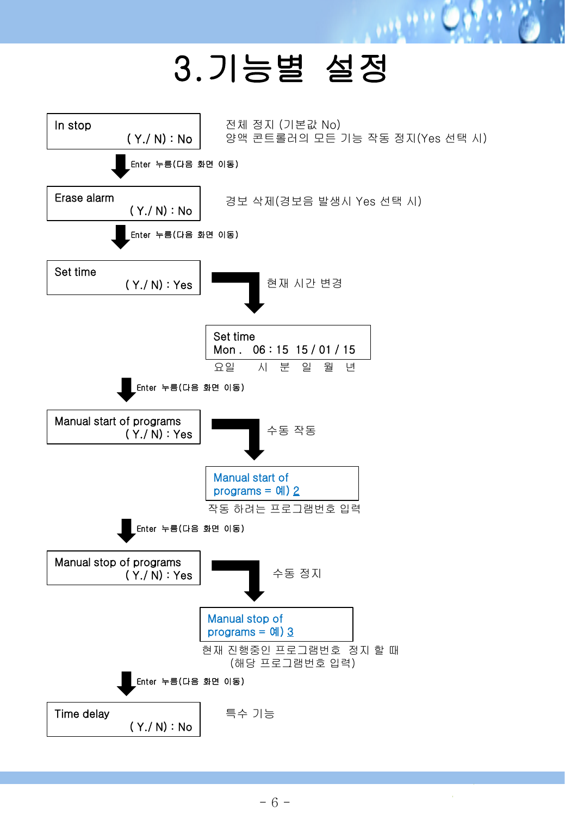## 3.기능별 설정

**MARK** 

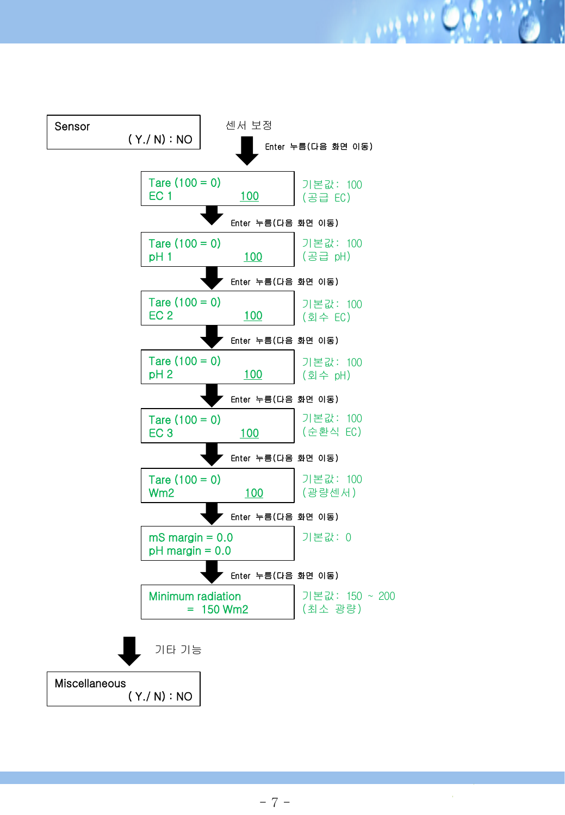

 $19990$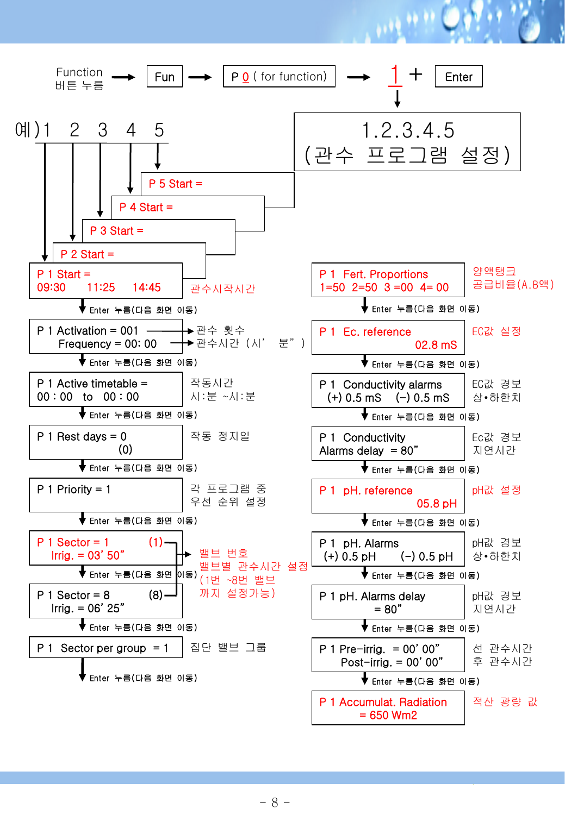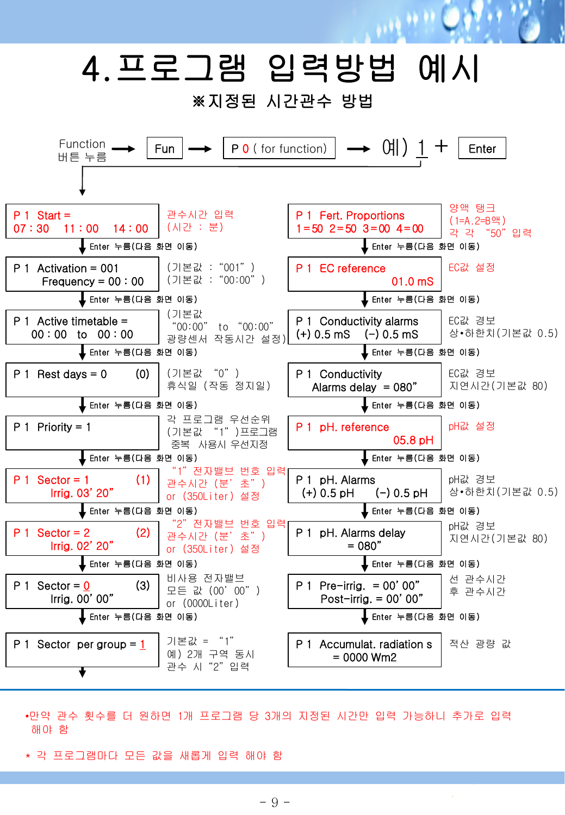

- •만약 관수 횟수를 더 원하면 1개 프로그램 당 3개의 지정된 시간만 입력 가능하니 추가로 입력 해야 함
- \* 각 프로그램마다 모든 값을 새롭게 입력 해야 함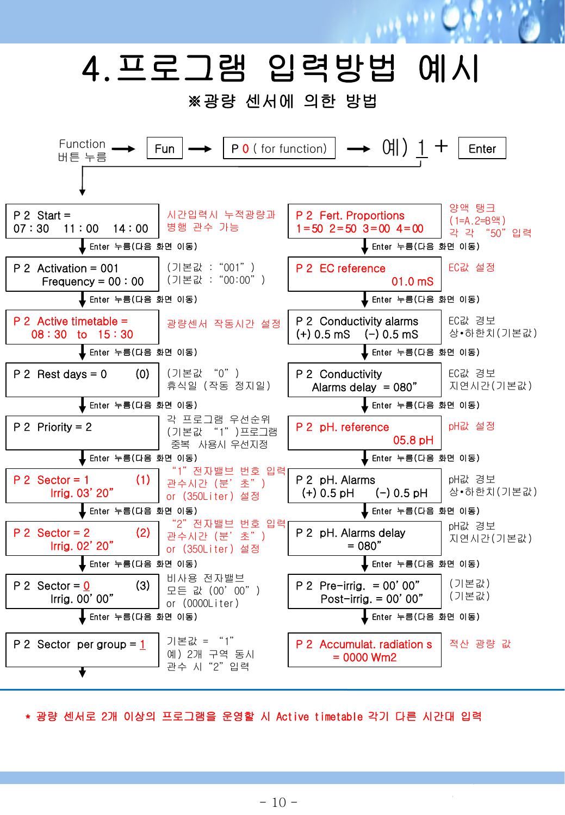

\* 광량 센서로 2개 이상의 프로그램을 운영할 시 Active timetable 각기 다른 시간대 입력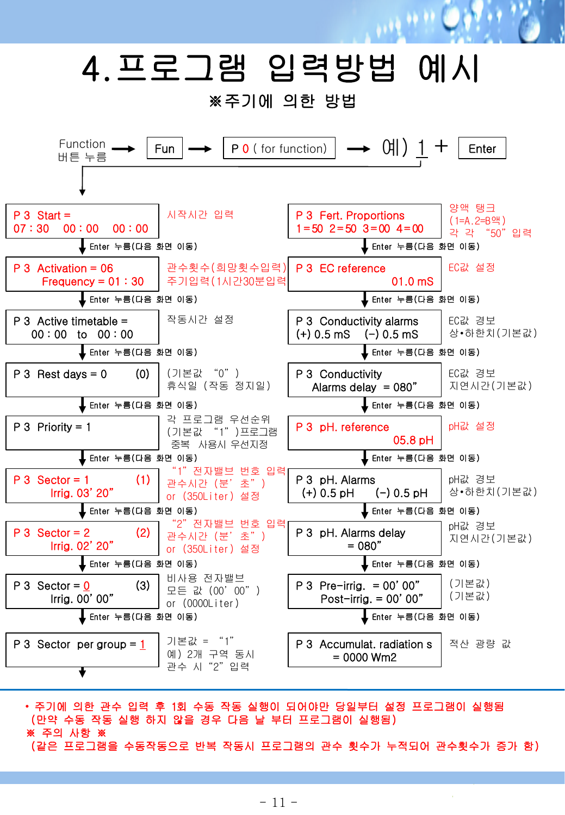

• 주기에 의한 관수 입력 후 1회 수동 작동 실행이 되어야만 당일부터 설정 프로그램이 실행됨 (만약 수동 작동 실행 하지 않을 경우 다음 날 부터 프로그램이 실행됨) ※ 주의 사항 ※ (같은 프로그램을 수동작동으로 반복 작동시 프로그램의 관수 횟수가 누적되어 관수횟수가 증가 함)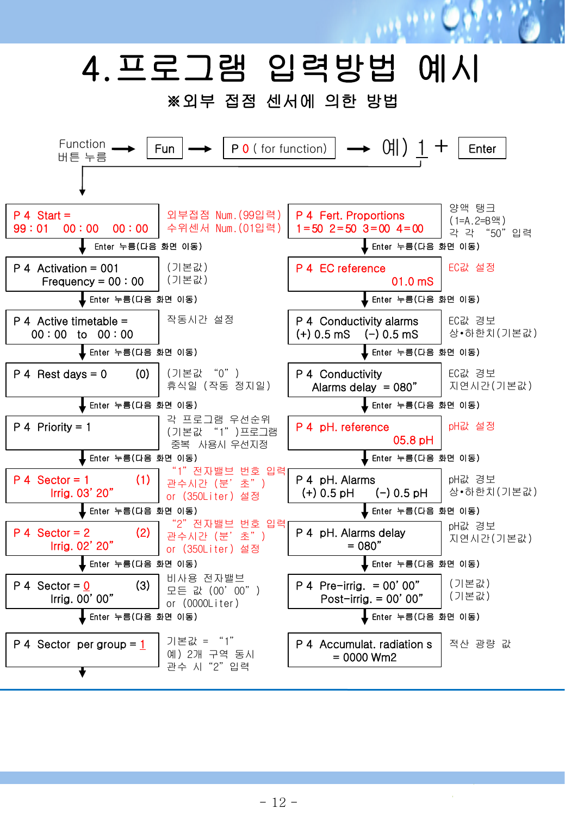# 4.프로그램 입력방법 예시

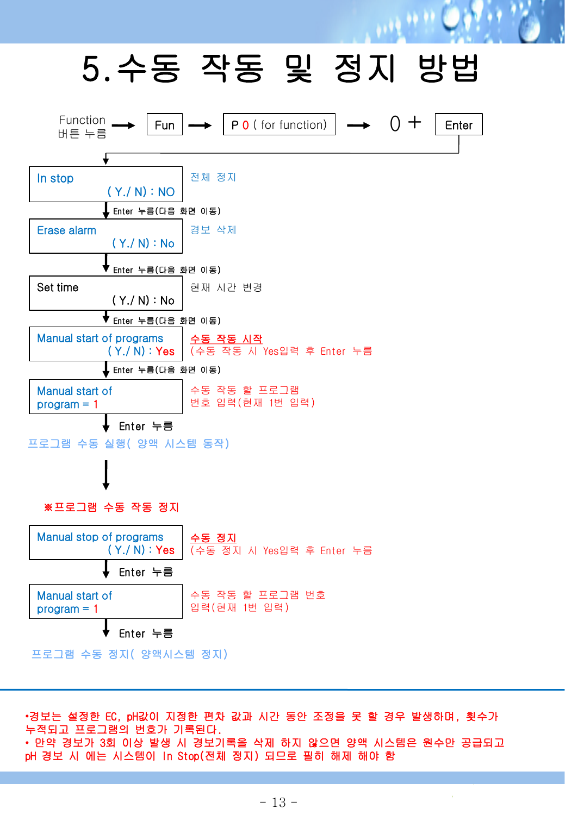## 5.수동 작동 및 정지 방법

 $1.12$ 



Manual start of program = 1 수동 작동 할 프로그램 번호 입력(현재 1번 입력)

Enter 누름

프로그램 수동 정지( 양액시스템 정지)

•경보는 설정한 EC, pH값이 지정한 편차 값과 시간 동안 조정을 못 할 경우 발생하며, 횟수가 누적되고 프로그램의 번호가 기록된다. • 만약 경보가 3회 이상 발생 시 경보기록을 삭제 하지 않으면 양액 시스템은 원수만 공급되고 pH 경보 시 에는 시스템이 In Stop(전체 정지) 되므로 필히 해제 해야 함